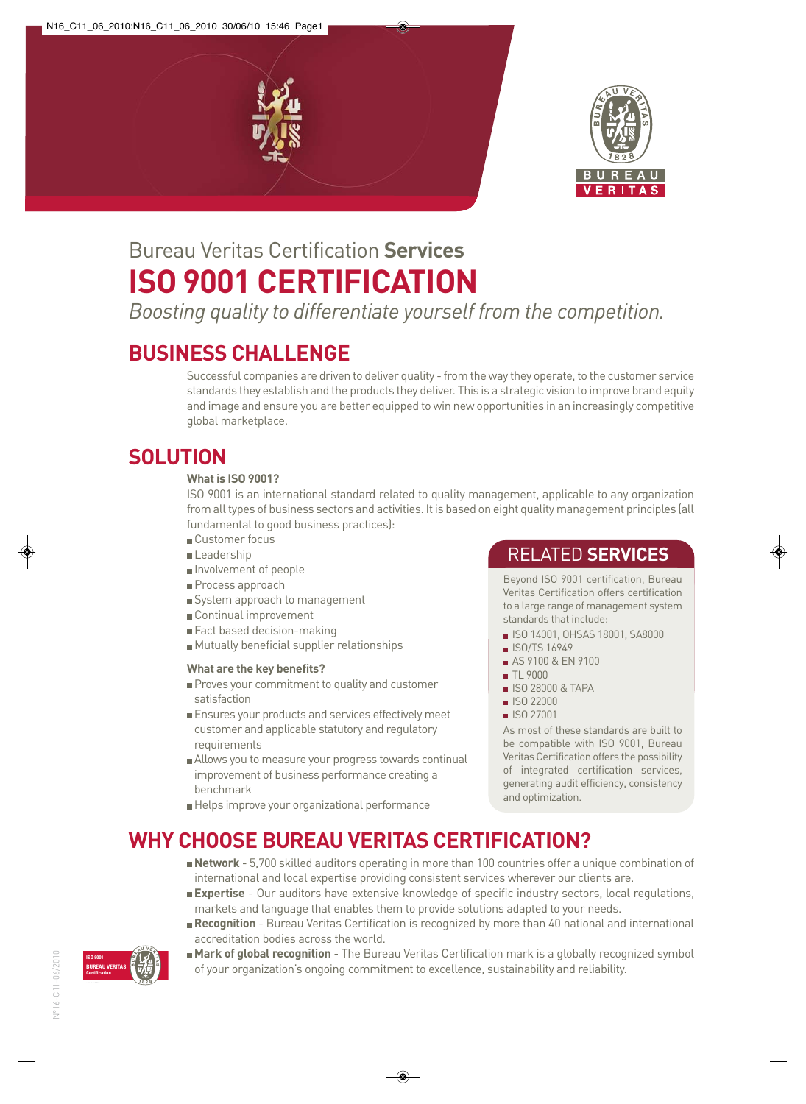



# Bureau Veritas Certification **Services ISO 9001 CERTIFICATION**

*Boosting quality to differentiate yourself from the competition.*

# **BUSINESS CHALLENGE**

Successful companies are driven to deliver quality - from the way they operate, to the customer service standards they establish and the products they deliver. This is a strategic vision to improve brand equity and image and ensure you are better equipped to win new opportunities in an increasingly competitive global marketplace.

## **SOLUTION**

#### **What is ISO 9001?**

ISO 9001 is an international standard related to quality management, applicable to any organization from all types of business sectors and activities. It is based on eight quality management principles (all fundamental to good business practices):

- Customer focus
- Leadership
- Involvement of people
- Process approach
- System approach to management
- Continual improvement
- Fact based decision-making
- Mutually beneficial supplier relationships

#### **What are the key benefits?**

- Proves your commitment to quality and customer satisfaction
- Ensures your products and services effectively meet customer and applicable statutory and regulatory requirements
- Allows you to measure your progress towards continual improvement of business performance creating a benchmark
- Helps improve your organizational performance

### RELATED **SERVICES**

Beyond ISO 9001 certification, Bureau Veritas Certification offers certification to a large range of management system standards that include:

- ISO 14001, OHSAS 18001, SA8000
- ISO/TS 16949
- AS 9100 & EN 9100
- **TL 9000**
- ISO 28000 & TAPA
- **ISO 22000**
- **ISO 27001**

As most of these standards are built to be compatible with ISO 9001, Bureau Veritas Certification offers the possibility of integrated certification services, generating audit efficiency, consistency and optimization.

# **WHY CHOOSE BUREAU VERITAS CERTIFICATION?**

- **Network** 5,700 skilled auditors operating in more than 100 countries offer a unique combination of international and local expertise providing consistent services wherever our clients are.
- **Expertise** Our auditors have extensive knowledge of specific industry sectors, local regulations, markets and language that enables them to provide solutions adapted to your needs.
- **Recognition**  Bureau Veritas Certification is recognized by more than 40 national and international accreditation bodies across the world.



**Mark of global recognition** - The Bureau Veritas Certification mark is a globally recognized symbol of your organization's ongoing commitment to excellence, sustainability and reliability.